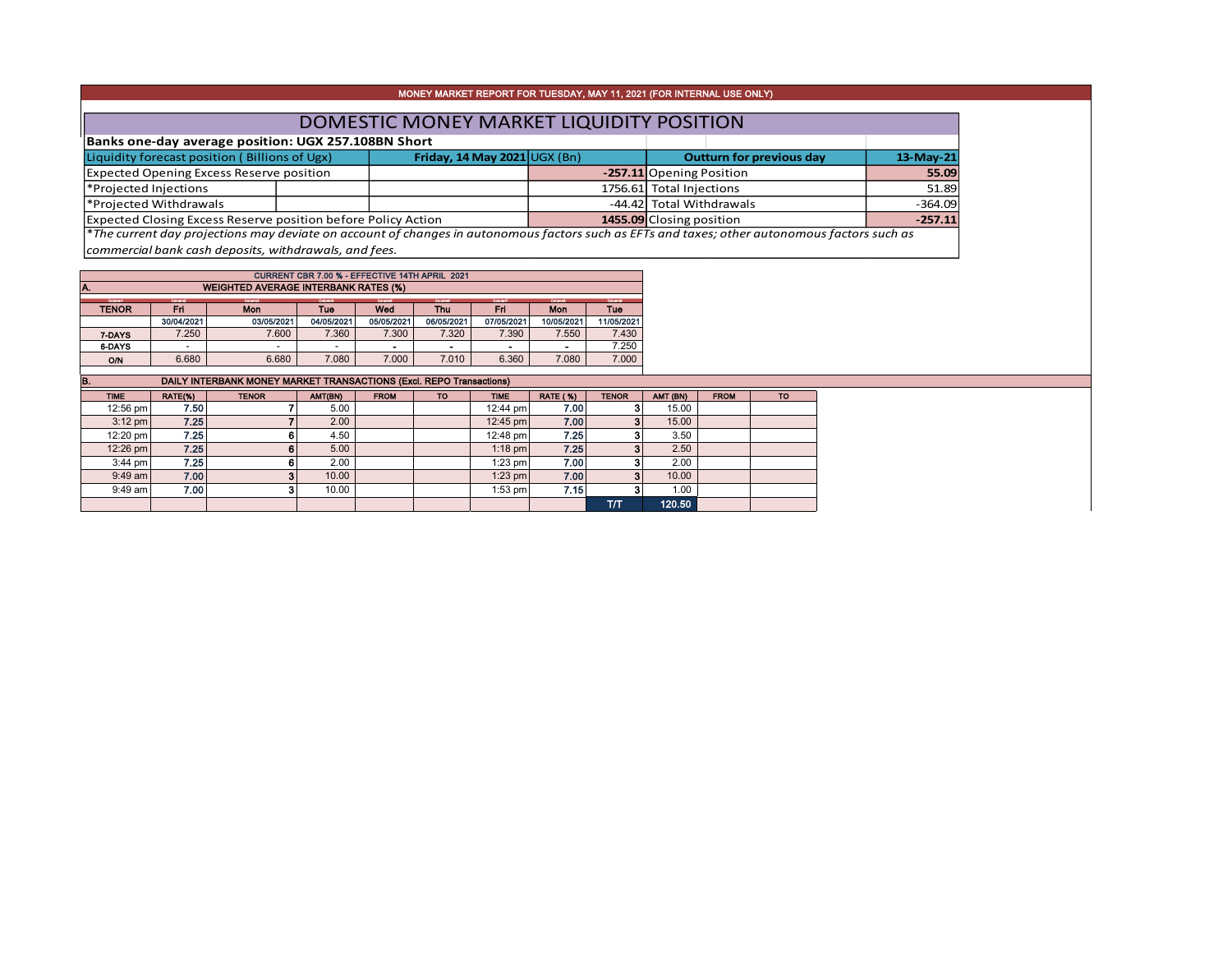|                                                               | MONEY MARKET REPORT FOR TUESDAY, MAY 11, 2021 (FOR INTERNAL USE ONLY) |                                    |  |                                                                                                                                               |           |  |  |  |  |  |  |  |
|---------------------------------------------------------------|-----------------------------------------------------------------------|------------------------------------|--|-----------------------------------------------------------------------------------------------------------------------------------------------|-----------|--|--|--|--|--|--|--|
|                                                               |                                                                       |                                    |  |                                                                                                                                               |           |  |  |  |  |  |  |  |
| DOMESTIC MONEY MARKET LIQUIDITY POSITION                      |                                                                       |                                    |  |                                                                                                                                               |           |  |  |  |  |  |  |  |
| Banks one-day average position: UGX 257.108BN Short           |                                                                       |                                    |  |                                                                                                                                               |           |  |  |  |  |  |  |  |
| Liquidity forecast position (Billions of Ugx)                 |                                                                       | Friday, 14 May 2021 $\cup$ GX (Bn) |  | <b>Outturn for previous day</b>                                                                                                               | 13-May-21 |  |  |  |  |  |  |  |
| <b>Expected Opening Excess Reserve position</b>               |                                                                       |                                    |  | -257.11 Opening Position                                                                                                                      | 55.09     |  |  |  |  |  |  |  |
| *Projected Injections                                         |                                                                       |                                    |  | 1756.61 Total Injections                                                                                                                      | 51.89     |  |  |  |  |  |  |  |
| *Projected Withdrawals                                        |                                                                       |                                    |  | -44.42 Total Withdrawals                                                                                                                      | $-364.09$ |  |  |  |  |  |  |  |
| Expected Closing Excess Reserve position before Policy Action |                                                                       |                                    |  | 1455.09 Closing position                                                                                                                      | $-257.11$ |  |  |  |  |  |  |  |
|                                                               |                                                                       |                                    |  | *The current day projections may deviate on account of changes in autonomous factors such as EFTs and taxes; other autonomous factors such as |           |  |  |  |  |  |  |  |
| commercial bank cash deposits, withdrawals, and fees.         |                                                                       |                                    |  |                                                                                                                                               |           |  |  |  |  |  |  |  |

| CURRENT CBR 7.00 % - EFFECTIVE 14TH APRIL 2021     |                                                                             |                          |            |                |            |                |            |            |  |  |  |  |  |
|----------------------------------------------------|-----------------------------------------------------------------------------|--------------------------|------------|----------------|------------|----------------|------------|------------|--|--|--|--|--|
| <b>WEIGHTED AVERAGE INTERBANK RATES (%)</b><br>IA. |                                                                             |                          |            |                |            |                |            |            |  |  |  |  |  |
| Column1                                            | Column2<br>Column7<br><b>Column's</b><br>Columnit<br>Columnit.<br>Columnati |                          |            |                |            |                |            | Column®    |  |  |  |  |  |
| <b>TENOR</b>                                       | Fri                                                                         | Mon                      | Tue        | Wed            |            | Fri            | <b>Mon</b> | <b>Tue</b> |  |  |  |  |  |
|                                                    | 30/04/2021                                                                  | 03/05/2021               | 04/05/2021 | 05/05/2021     | 06/05/2021 | 07/05/2021     | 10/05/2021 | 11/05/2021 |  |  |  |  |  |
| 7-DAYS                                             | 7.250                                                                       | 7.600                    | 7.360      | 7.300          | 7.320      | 7.390          | 7.550      | 7.430      |  |  |  |  |  |
| 6-DAYS                                             |                                                                             | $\overline{\phantom{0}}$ |            | $\blacksquare$ |            | $\blacksquare$ |            | 7.250      |  |  |  |  |  |
| O/N                                                | 6.680                                                                       | 6.680                    | 7.080      | 7.000          | 7.010      | 6.360          | 7.080      | 7.000      |  |  |  |  |  |

| IB.         | DAILY INTERBANK MONEY MARKET TRANSACTIONS (Excl. REPO Transactions) |              |         |             |           |             |                 |              |          |             |           |  |  |  |
|-------------|---------------------------------------------------------------------|--------------|---------|-------------|-----------|-------------|-----------------|--------------|----------|-------------|-----------|--|--|--|
| <b>TIME</b> | RATE(%)                                                             | <b>TENOR</b> | AMT(BN) | <b>FROM</b> | <b>TO</b> | <b>TIME</b> | <b>RATE (%)</b> | <b>TENOR</b> | AMT (BN) | <b>FROM</b> | <b>TO</b> |  |  |  |
| 12:56 pm    | 7.50                                                                |              | 5.00    |             |           | 12:44 pm    | 7.00            |              | 15.00    |             |           |  |  |  |
| $3:12$ pm   | 7.25                                                                |              | 2.00    |             |           | 12:45 pm    | 7.00            |              | 15.00    |             |           |  |  |  |
| 12:20 pm    | 7.25                                                                |              | 4.50    |             |           | 12:48 pm    | 7.25            |              | 3.50     |             |           |  |  |  |
| 12:26 pm    | 7.25                                                                | 6            | 5.00    |             |           | $1:18$ pm   | 7.25            |              | 2.50     |             |           |  |  |  |
| $3:44$ pm   | 7.25                                                                |              | 2.00    |             |           | $1:23$ pm   | 7.00            |              | 2.00     |             |           |  |  |  |
| $9:49$ am   | 7.00                                                                |              | 10.00   |             |           | 1:23 pm     | 7.00            |              | 10.00    |             |           |  |  |  |
| $9:49$ am   | 7.00                                                                |              | 10.00   |             |           | $1:53$ pm   | 7.15            |              | 1.00     |             |           |  |  |  |
|             |                                                                     |              |         |             |           |             |                 | тл           | 120.50   |             |           |  |  |  |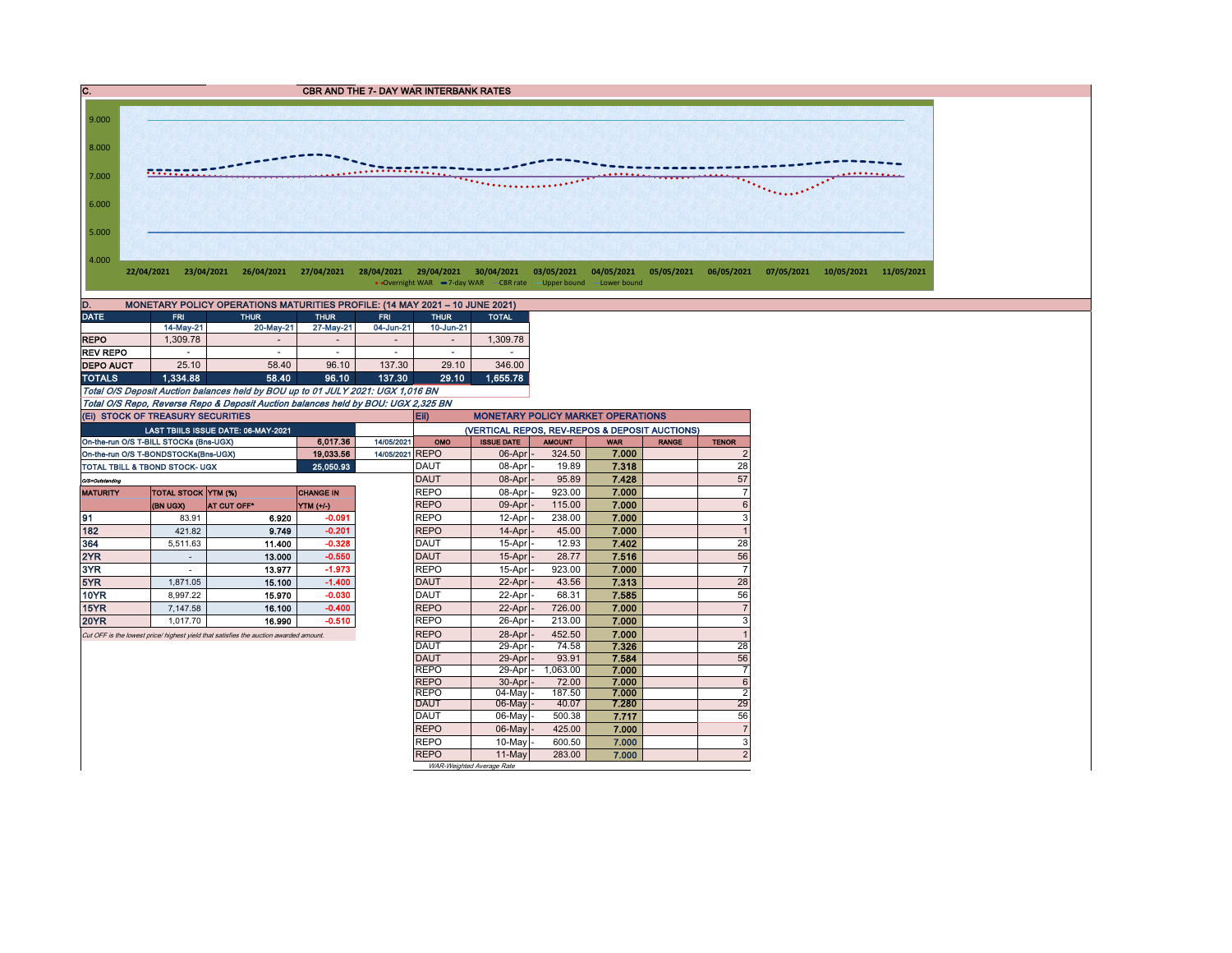



| ID.<br><b>MONETARY POLICY OPERATIONS MATURITIES PROFILE: (14 MAY 2021 - 10 JUNE 2021)</b> |            |             |                |                          |                          |              |  |  |  |  |  |  |
|-------------------------------------------------------------------------------------------|------------|-------------|----------------|--------------------------|--------------------------|--------------|--|--|--|--|--|--|
| <b>DATE</b>                                                                               | <b>FRI</b> | <b>THUR</b> | <b>THUR</b>    | <b>FRI</b>               | <b>THUR</b>              | <b>TOTAL</b> |  |  |  |  |  |  |
|                                                                                           | 14-May-21  | 20-May-21   | 27-May-21      | 04-Jun-21                | 10-Jun-21                |              |  |  |  |  |  |  |
| <b>REPO</b>                                                                               | 1.309.78   |             | $\overline{a}$ | $\overline{\phantom{a}}$ | $\overline{\phantom{a}}$ | 1.309.78     |  |  |  |  |  |  |
| <b>REV REPO</b>                                                                           | ۰          | -           | $\overline{a}$ | $\overline{\phantom{a}}$ | ۰                        | ۰            |  |  |  |  |  |  |
| <b>DEPO AUCT</b>                                                                          | 25.10      | 58.40       | 96.10          | 137.30                   | 29.10                    | 346.00       |  |  |  |  |  |  |
| <b>TOTALS</b>                                                                             | 1.334.88   | 58.40       | 96.10          | 137.30                   | 29.10                    | 1.655.78     |  |  |  |  |  |  |

Total O/S Deposit Auction balances held by BOU up to 01 JULY 2021: UGX 1,016 BN Total O/S Repo, Reverse Repo & Deposit Auction balances held by BOU: UGX 2,325 BN

|                 | (EI) STOCK OF TREASURY SECURITIES                                                                                                                                                                                                                                                                                                                                                                                                                                                                                                               |                                            |                  |                 | <b>Eii</b><br><b>MONETARY POLICY MARKET OPERATIONS</b> |                                                |               |            |              |                         |  |  |  |  |  |
|-----------------|-------------------------------------------------------------------------------------------------------------------------------------------------------------------------------------------------------------------------------------------------------------------------------------------------------------------------------------------------------------------------------------------------------------------------------------------------------------------------------------------------------------------------------------------------|--------------------------------------------|------------------|-----------------|--------------------------------------------------------|------------------------------------------------|---------------|------------|--------------|-------------------------|--|--|--|--|--|
|                 |                                                                                                                                                                                                                                                                                                                                                                                                                                                                                                                                                 | <b>LAST TBIILS ISSUE DATE: 06-MAY-2021</b> |                  |                 |                                                        | (VERTICAL REPOS, REV-REPOS & DEPOSIT AUCTIONS) |               |            |              |                         |  |  |  |  |  |
|                 | On-the-run O/S T-BILL STOCKs (Bns-UGX)                                                                                                                                                                                                                                                                                                                                                                                                                                                                                                          |                                            | 6.017.36         | 14/05/2021      | OMO                                                    | <b>ISSUE DATE</b>                              | <b>AMOUNT</b> | <b>WAR</b> | <b>RANGE</b> | <b>TENOR</b>            |  |  |  |  |  |
|                 | On-the-run O/S T-BONDSTOCKs(Bns-UGX)                                                                                                                                                                                                                                                                                                                                                                                                                                                                                                            |                                            | 19.033.56        | 14/05/2021 REPO |                                                        | $06$ -Apr $-$                                  | 324.50        | 7.000      |              | $\overline{\mathbf{c}}$ |  |  |  |  |  |
|                 | <b>TOTAL TBILL &amp; TBOND STOCK- UGX</b>                                                                                                                                                                                                                                                                                                                                                                                                                                                                                                       |                                            | 25.050.93        |                 | <b>DAUT</b>                                            | 08-Apr -                                       | 19.89         | 7.318      |              | 28                      |  |  |  |  |  |
| O/S=Outstanding |                                                                                                                                                                                                                                                                                                                                                                                                                                                                                                                                                 |                                            |                  |                 | DAUT                                                   | $08$ -Apr                                      | 95.89         | 7.428      |              | 57                      |  |  |  |  |  |
| <b>MATURITY</b> | <b>TOTAL STOCK YTM (%)</b>                                                                                                                                                                                                                                                                                                                                                                                                                                                                                                                      |                                            | <b>CHANGE IN</b> |                 | <b>REPO</b>                                            | 08-Apr -                                       | 923.00        | 7.000      |              | $\overline{7}$          |  |  |  |  |  |
|                 | (BN UGX)                                                                                                                                                                                                                                                                                                                                                                                                                                                                                                                                        | <b>AT CUT OFF*</b>                         | YTM (+/-)        |                 | <b>REPO</b>                                            |                                                | 115.00        | 7.000      |              | 6                       |  |  |  |  |  |
| 191             | 83.91                                                                                                                                                                                                                                                                                                                                                                                                                                                                                                                                           | 6.920                                      | $-0.091$         |                 | <b>REPO</b>                                            |                                                | 238.00        | 7.000      |              | 3                       |  |  |  |  |  |
| 182             | 421.82                                                                                                                                                                                                                                                                                                                                                                                                                                                                                                                                          | 9.749                                      | $-0.201$         |                 | <b>REPO</b>                                            |                                                | 45.00         | 7.000      |              | $\mathbf{1}$            |  |  |  |  |  |
| 364             | 5,511.63                                                                                                                                                                                                                                                                                                                                                                                                                                                                                                                                        | 11.400                                     | $-0.328$         |                 | <b>DAUT</b>                                            |                                                | 12.93         | 7.402      |              | 28                      |  |  |  |  |  |
| 2YR             |                                                                                                                                                                                                                                                                                                                                                                                                                                                                                                                                                 | 13.000                                     | $-0.550$         |                 | <b>DAUT</b>                                            |                                                | 28.77         | 7.516      |              | 56                      |  |  |  |  |  |
| 3YR             |                                                                                                                                                                                                                                                                                                                                                                                                                                                                                                                                                 | 13.977                                     | $-1.973$         |                 | <b>REPO</b>                                            |                                                | 923.00        | 7.000      |              | $\overline{7}$          |  |  |  |  |  |
| 5YR             | 1.871.05                                                                                                                                                                                                                                                                                                                                                                                                                                                                                                                                        | 15.100                                     | $-1.400$         |                 | <b>DAUT</b>                                            |                                                | 43.56         | 7.313      |              | 28                      |  |  |  |  |  |
| <b>10YR</b>     | 8.997.22                                                                                                                                                                                                                                                                                                                                                                                                                                                                                                                                        | 15.970                                     | $-0.030$         |                 | <b>DAUT</b>                                            |                                                | 68.31         | 7.585      |              | 56                      |  |  |  |  |  |
| <b>15YR</b>     | 7.147.58                                                                                                                                                                                                                                                                                                                                                                                                                                                                                                                                        | 16.100                                     | $-0.400$         |                 | <b>REPO</b>                                            |                                                | 726.00        | 7.000      |              | $\overline{7}$          |  |  |  |  |  |
| <b>20YR</b>     | 1.017.70                                                                                                                                                                                                                                                                                                                                                                                                                                                                                                                                        |                                            | $-0.510$         |                 | <b>REPO</b>                                            |                                                | 213.00        | 7.000      |              | 3                       |  |  |  |  |  |
|                 |                                                                                                                                                                                                                                                                                                                                                                                                                                                                                                                                                 |                                            |                  |                 | <b>REPO</b>                                            |                                                | 452.50        | 7.000      |              | $\mathbf{1}$            |  |  |  |  |  |
|                 | 09-Apr -<br>$12-Apr$ -<br>$14$ -Apr $ -$<br>15-Apr -<br>$15$ -Apr $ -$<br>$15-Apr$<br>22-Apr<br>$22$ -Apr $-$<br>$22$ -Apr $ -$<br>16.990<br>26-Apr<br>$28 - Apr$<br>Cut OFF is the lowest price/ highest yield that satisfies the auction awarded amount.<br><b>DAUT</b><br>74.58<br>29-Apr<br>7.326<br><b>DAUT</b><br>93.91<br>7.584<br>29-Apr<br><b>REPO</b><br>1.063.00<br>29-Apr<br>7.000<br><b>REPO</b><br>7.000<br>72.00<br>$30 - Apr$ -<br><b>REPO</b><br>187.50<br>7.000<br>$04$ -May $-$<br><b>DAUT</b><br>7.280<br>06-May -<br>40.07 |                                            | 28               |                 |                                                        |                                                |               |            |              |                         |  |  |  |  |  |
|                 |                                                                                                                                                                                                                                                                                                                                                                                                                                                                                                                                                 |                                            |                  |                 |                                                        |                                                |               |            |              | 56                      |  |  |  |  |  |
|                 |                                                                                                                                                                                                                                                                                                                                                                                                                                                                                                                                                 |                                            |                  |                 |                                                        |                                                |               |            |              | $\overline{7}$          |  |  |  |  |  |
|                 |                                                                                                                                                                                                                                                                                                                                                                                                                                                                                                                                                 |                                            |                  |                 |                                                        |                                                |               |            |              | 6                       |  |  |  |  |  |
|                 |                                                                                                                                                                                                                                                                                                                                                                                                                                                                                                                                                 |                                            |                  |                 |                                                        |                                                |               |            |              | $\overline{2}$          |  |  |  |  |  |
|                 |                                                                                                                                                                                                                                                                                                                                                                                                                                                                                                                                                 |                                            |                  |                 |                                                        |                                                |               |            |              | 29                      |  |  |  |  |  |
|                 |                                                                                                                                                                                                                                                                                                                                                                                                                                                                                                                                                 |                                            |                  |                 | <b>DAUT</b>                                            | 06-May                                         | 500.38        | 7.717      |              | 56                      |  |  |  |  |  |
|                 |                                                                                                                                                                                                                                                                                                                                                                                                                                                                                                                                                 |                                            |                  |                 | <b>REPO</b>                                            | 06-May -                                       | 425.00        | 7.000      |              | $\overline{7}$          |  |  |  |  |  |
|                 |                                                                                                                                                                                                                                                                                                                                                                                                                                                                                                                                                 |                                            |                  |                 | <b>REPO</b>                                            | 10-May                                         | 600.50        | 7.000      |              | 3                       |  |  |  |  |  |
|                 |                                                                                                                                                                                                                                                                                                                                                                                                                                                                                                                                                 |                                            |                  |                 | <b>REPO</b>                                            | 11-May                                         | 283.00        | 7.000      |              | $\overline{2}$          |  |  |  |  |  |
|                 |                                                                                                                                                                                                                                                                                                                                                                                                                                                                                                                                                 |                                            |                  |                 |                                                        | WAR-Weighted Average Rate                      |               |            |              |                         |  |  |  |  |  |